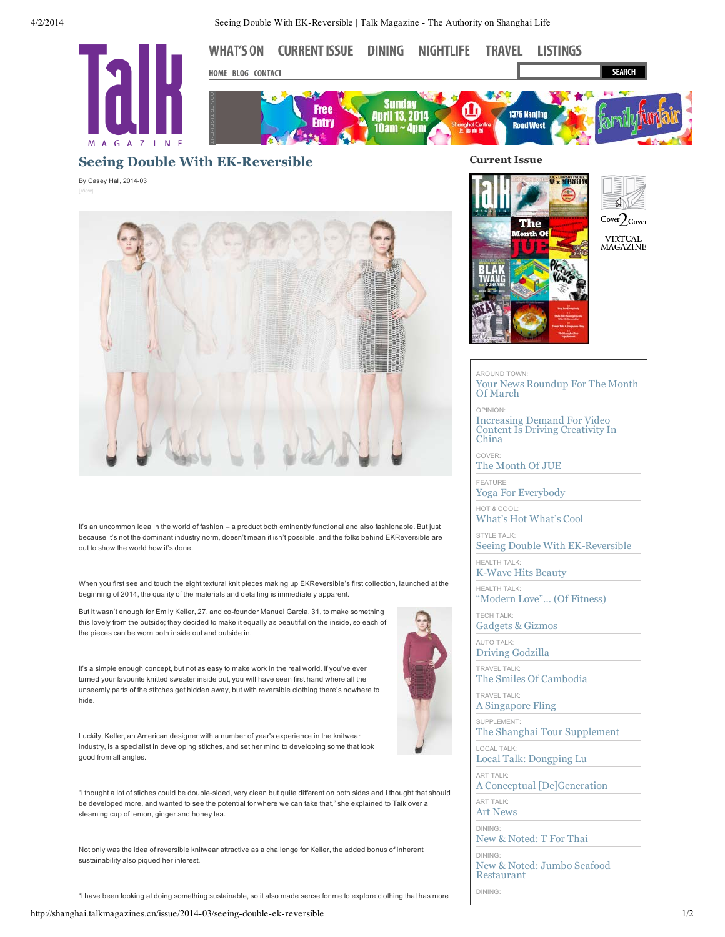4/2/2014 Seeing Double With EK-Reversible | Talk Magazine - The Authority on Shanghai Life



## **Seeing Double With EK-Reversible**

By Casey Hall, 2014-03



It's an uncommon idea in the world of fashion – a product both eminently functional and also fashionable. But just because it's not the dominant industry norm, doesn't mean it isn't possible, and the folks behind EKReversible are out to show the world how it's done.

When you first see and touch the eight textural knit pieces making up EKReversible's first collection, launched at the beginning of 2014, the quality of the materials and detailing is immediately apparent.

But it wasn't enough for Emily Keller, 27, and co-founder Manuel Garcia, 31, to make something this lovely from the outside; they decided to make it equally as beautiful on the inside, so each of the pieces can be worn both inside out and outside in.

It's a simple enough concept, but not as easy to make work in the real world. If you've ever turned your favourite knitted sweater inside out, you will have seen first hand where all the unseemly parts of the stitches get hidden away, but with reversible clothing there's nowhere to hide.



Luckily, Keller, an American designer with a number of year's experience in the knitwear industry, is a specialist in developing stitches, and set her mind to developing some that look good from all angles.

"I thought a lot of stiches could be double-sided, very clean but quite different on both sides and I thought that should be developed more, and wanted to see the potential for where we can take that," she explained to Talk over a steaming cup of lemon, ginger and honey tea.

Not only was the idea of reversible knitwear attractive as a challenge for Keller, the added bonus of inherent sustainability also piqued her interest.

"I have been looking at doing something sustainable, so it also made sense for me to explore clothing that has more

## **Current Issue**





VIRTUAL<br>MAGAZINE

## AROUND TOWN:

[Your News Roundup For The Month](http://shanghai.talkmagazines.cn/issue/2014-03/your-news-roundup-month-march) Of March OPINION: Increasing Demand For Video [Content Is Driving Creativity In](http://shanghai.talkmagazines.cn/issue/2014-03/increasing-demand-video-content-driving-creativity-china) China

COVER:

[The Month Of JUE](http://shanghai.talkmagazines.cn/issue/2014-03/month-jue) FEATURE:

[Yoga For Everybody](http://shanghai.talkmagazines.cn/issue/2014-03/yoga-everybody)

HOT & COOL: [What's Hot What's Cool](http://shanghai.talkmagazines.cn/issue/2014-03/what%E2%80%99s-hot-what%E2%80%99s-cool)

STYLE TALK: [Seeing Double With EK-Reversible](http://shanghai.talkmagazines.cn/issue/2014-03/seeing-double-ek-reversible)

HEALTH TALK: [K-Wave Hits Beauty](http://shanghai.talkmagazines.cn/issue/2014-03/k-wave-hits-beauty)

HEALTH TALK: ["Modern Love"… \(Of Fitness\)](http://shanghai.talkmagazines.cn/issue/2014-03/%E2%80%9Cmodern-love%E2%80%9D%E2%80%A6-fitness)

TECH TALK: [Gadgets & Gizmos](http://shanghai.talkmagazines.cn/issue/2014-03/gadgets-gizmos-0)

AUTO TALK: [Driving Godzilla](http://shanghai.talkmagazines.cn/issue/2014-03/driving-godzilla)

TRAVEL TALK: [The Smiles Of Cambodia](http://shanghai.talkmagazines.cn/issue/2014-03/smiles-cambodia)

TRAVEL TALK: [A Singapore Fling](http://shanghai.talkmagazines.cn/issue/2014-03/singapore-fling)

SUPPLEMENT: [The Shanghai Tour Supplement](http://shanghai.talkmagazines.cn/issue/2014-03/shanghai-tour-supplement)

LOCAL TALK: [Local Talk: Dongping Lu](http://shanghai.talkmagazines.cn/issue/2014-03/local-talk-dongping-lu)

ART TALK: [A Conceptual \[De\]Generation](http://shanghai.talkmagazines.cn/issue/2014-03/conceptual-degeneration)

ART TALK: [Art News](http://shanghai.talkmagazines.cn/issue/2014-03/art-news)

DINING:

[New & Noted: T For Thai](http://shanghai.talkmagazines.cn/issue/2014-03/new-noted-t-thai)

DINING: [New & Noted: Jumbo Seafood](http://shanghai.talkmagazines.cn/issue/2014-03/new-noted-jumbo-seafood-restaurant) Restaurant

DINING: